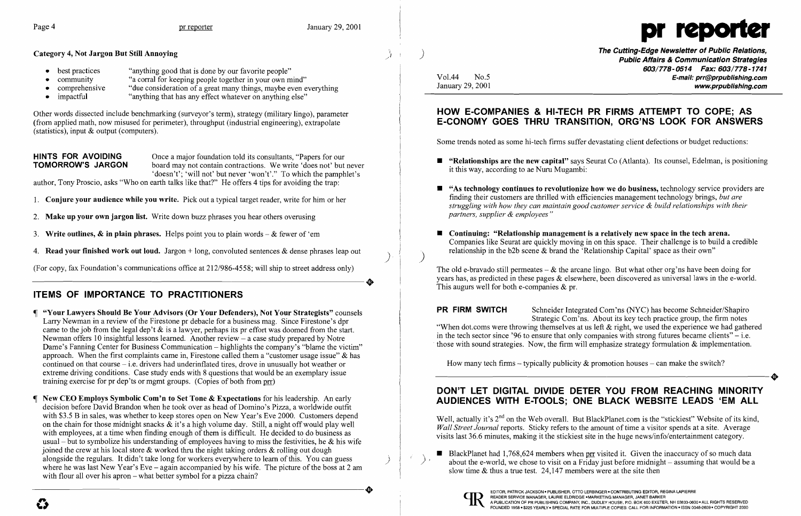- best practices "anything good that is done by our favorite people"
- community "a corral for keeping people together in your own mind"<br>• comprehensive "due consideration of a great many things, maybe even e
- comprehensive "due consideration of a great many things, maybe even everything<br>• impactful "anything that has any effect whatever on anything else"
- "anything that has any effect whatever on anything else"



**HINTS FOR AVOIDING** Once a major foundation told its consultants, "Papers for our **TOMORROW'S JARGON** board may not contain contractions. We write 'does not' but board may not contain contractions. We write 'does not' but never 'doesn't'; 'will not' but never 'won't'." To which the pamphlet's

author, Tony Proscio, asks "Who on earth talks like that?" He offers 4 tips for avoiding the trap:

Other words dissected include benchmarking (surveyor's term), strategy (military lingo), parameter (from applied math, now misused for perimeter), throughput (industrial engineering), extrapolate (statistics), input & output (computers).

(For copy, fax Foundation's communications office at 212/986-4558; will ship to street address only) (For copy, fax Foundation's communications office at 212/986-4558; will ship to street address only)

 **"Your Lawyers Should Be Your Advisors (Or Your Defenders), Not Your Strategists"** counsels Larry Newman in a review of the Firestone pr debacle for a business mag. Since Firestone's dpr came to the job from the legal dep't  $\&$  is a lawyer, perhaps its pr effort was doomed from the start. Newman offers 10 insightful lessons learned. Another review  $-$  a case study prepared by Notre Dame's Fanning Center for Business Communication – highlights the company's "blame the victim" approach. When the first complaints came in, Firestone called them a "customer usage issue" & has continued on that course - i.e. drivers had underinflated tires, drove in unusually hot weather or extreme driving conditions. Case study ends with 8 questions that would be an exemplary issue training exercise for pr dep'ts or mgmt groups. (Copies of both from prr)

- 1. **Conjure your audience while you write.** Pick out a typical target reader, write for him or her
- 2. **Make up your own jargon list.** Write down buzz phrases you hear others overusing
- 3. **Write outlines,**  $\&$  **in plain phrases.** Helps point you to plain words  $-\&$  fewer of 'em
- 4. **Read your finished work out loud.** Jargon + long, convoluted sentences & dense phrases leap out )

 **New CEO Employs Symbolic Com'n to Set Tone & Expectations** for his leadership. An early decision before David Brandon when he took over as head of Domino's Pizza, a worldwide outfit with \$3.5 B in sales, was whether to keep stores open on New Year's Eve 2000. Customers depend on the chain for those midnight snacks  $\&$  it's a high volume day. Still, a night off would play well with employees, at a time when finding enough of them is difficult. He decided to do business as usual – but to symbolize his understanding of employees having to miss the festivities, he  $\&$  his wife joined the crew at his local store  $\&$  worked thru the night taking orders  $\&$  rolling out dough alongside the regulars. It didn't take long for workers everywhere to learn of this. You can guess where he was last New Year's Eve – again accompanied by his wife. The picture of the boss at 2 am with flour all over his apron – what better symbol for a pizza chain? with flour all over his apron – what better symbol for a pizza chain?<br>with flour all over his apron – what better symbol for a pizza chain?<br><br>The picture of the boss at 2 am<br>slow time & thus a true test. 24,147 members were

## **ITEMS OF IMPORTANCE TO PRACTITIONERS**

- it this way, according to ae Nuru Mugambi:
- *partners, supplier* & *employees"*
- **Continuing: "Relationship management is a relatively new space in the tech arena.** relationship in the b2b scene  $\&$  brand the 'Relationship Capital' space as their own"

The old e-bravado still permeates  $-\&$  the arcane lingo. But what other org'ns have been doing for years has, as predicted in these pages & elsewhere, been discovered as universal laws in the e-world. This augurs well for both e-companies  $&pr.$ 

**E** "As technology continues to revolutionize how we do business, technology service providers are finding their customers are thrilled with efficiencies management technology brings, *but are struggling with how they can maintain good customer service* & *build relationships with their* 

**PR FIRM SWITCH** Schneider Integrated Com'ns (NYC) has become Schneider/Shapiro Strategic Com'ns. About its key tech practice group, the firm notes "When dot.coms were throwing themselves at us left & right, we used the experience we had gathered in the tech sector since '96 to ensure that only companies with strong futures became clients'' – i.e. . those with sound strategies. Now, the firm will emphasize strategy formulation & implementation.

How many tech firms – typically publicity  $\&$  promotion houses – can make the switch? How many tech firms – typically publicity & promotion houses – can make the switch?

Well, actually it's 2<sup>nd</sup> on the Web overall. But BlackPlanet.com is the "stickiest" Website of its kind, *Wall Street Journal reports.* Sticky refers to the amount of time a visitor spends at a site. Average visits last 36.6 minutes, making it the stickiest site in the huge news/info/entertainment category.

**The Cutting-Edge Newsletter of Public Relations,** ) **Public Affairs & Communication Strategies 603/778-0514 Fax: 603/778-1741**  Vo1.44 No.5 **E-mail: prr@prpublishing.com**  January 29,2001 **www.prpublishing.com** 

**• "Relationships are the new capital"** says Seurat Co (Atlanta). Its counsel, Edelman, is positioning

### **HOW E-COMPANIES & HI-TECH PR FIRMS ATTEMPT TO COPE; AS E-CONOMY GOES THRU TRANSITION, ORG'NS LOOK FOR ANSWERS**

Some trends noted as some hi-tech firms suffer devastating client defections or budget reductions:

Companies like Seurat are quickly moving in on this space. Their challenge is to build a credible

**•** BlackPlanet had 1,768,624 members when  $\frac{p}{r}$  visited it. Given the inaccuracy of so much data about the e-world, we chose to visit on a Friday just before midnight – assuming that would be a

## **DON'T LET DIGITAL DIVIDE DETER YOU FROM REACHING MINORITY AUDIENCES WITH E-TOOLS; ONE BLACK WEBSITE LEADS 'EM ALL**

slow time & thus a true test. 24,147 members were at the site then